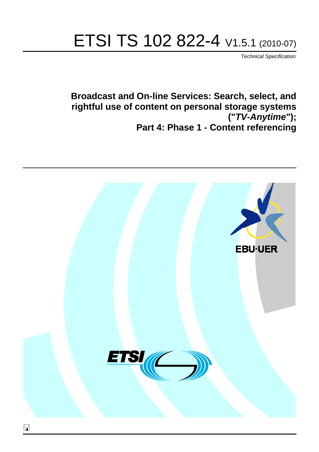# ETSI TS 102 822-4 V1.5.1 (2010-07)

*Technical Specification*

**Broadcast and On-line Services: Search, select, and rightful use of content on personal storage systems ("***TV-Anytime***"); Part 4: Phase 1 - Content referencing**

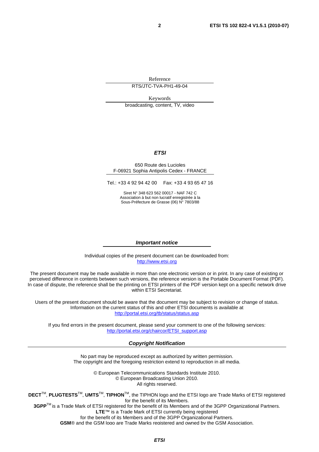Reference

RTS/JTC-TVA-PH1-49-04

Keywords

broadcasting, content, TV, video

#### *ETSI*

#### 650 Route des Lucioles F-06921 Sophia Antipolis Cedex - FRANCE

Tel.: +33 4 92 94 42 00 Fax: +33 4 93 65 47 16

Siret N° 348 623 562 00017 - NAF 742 C Association à but non lucratif enregistrée à la Sous-Préfecture de Grasse (06) N° 7803/88

#### *Important notice*

Individual copies of the present document can be downloaded from: [http://www.etsi.org](http://www.etsi.org/)

The present document may be made available in more than one electronic version or in print. In any case of existing or perceived difference in contents between such versions, the reference version is the Portable Document Format (PDF). In case of dispute, the reference shall be the printing on ETSI printers of the PDF version kept on a specific network drive within ETSI Secretariat.

Users of the present document should be aware that the document may be subject to revision or change of status. Information on the current status of this and other ETSI documents is available at <http://portal.etsi.org/tb/status/status.asp>

If you find errors in the present document, please send your comment to one of the following services: [http://portal.etsi.org/chaircor/ETSI\\_support.asp](http://portal.etsi.org/chaircor/ETSI_support.asp)

#### *Copyright Notification*

No part may be reproduced except as authorized by written permission. The copyright and the foregoing restriction extend to reproduction in all media.

> © European Telecommunications Standards Institute 2010. © European Broadcasting Union 2010. All rights reserved.

**DECT**TM, **PLUGTESTS**TM, **UMTS**TM, **TIPHON**TM, the TIPHON logo and the ETSI logo are Trade Marks of ETSI registered for the benefit of its Members. **3GPP**TM is a Trade Mark of ETSI registered for the benefit of its Members and of the 3GPP Organizational Partners.

**LTE**™ is a Trade Mark of ETSI currently being registered

for the benefit of its Members and of the 3GPP Organizational Partners.

**GSM**® and the GSM logo are Trade Marks registered and owned by the GSM Association.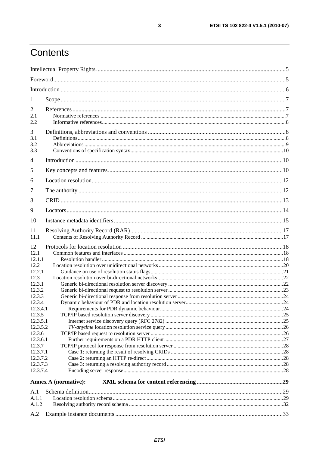# Contents

| 1                                                                                                                                                                                                                     |                             |  |
|-----------------------------------------------------------------------------------------------------------------------------------------------------------------------------------------------------------------------|-----------------------------|--|
| $\overline{2}$<br>2.1<br>2.2                                                                                                                                                                                          |                             |  |
| 3<br>3.1<br>3.2<br>3.3                                                                                                                                                                                                |                             |  |
| 4                                                                                                                                                                                                                     |                             |  |
| 5                                                                                                                                                                                                                     |                             |  |
| 6                                                                                                                                                                                                                     |                             |  |
| 7                                                                                                                                                                                                                     |                             |  |
| 8                                                                                                                                                                                                                     |                             |  |
| 9                                                                                                                                                                                                                     |                             |  |
| 10                                                                                                                                                                                                                    |                             |  |
|                                                                                                                                                                                                                       |                             |  |
| 11<br>11.1                                                                                                                                                                                                            |                             |  |
| 12<br>12.1<br>12.1.1<br>12.2.<br>12.2.1<br>12.3<br>12.3.1<br>12.3.2<br>12.3.3<br>12.3.4<br>12.3.4.1<br>12.3.5<br>12.3.5.1<br>12.3.5.2<br>12.3.6<br>12.3.6.1<br>12.3.7<br>12.3.7.1<br>12.3.7.2<br>12.3.7.3<br>12.3.7.4 |                             |  |
|                                                                                                                                                                                                                       | <b>Annex A (normative):</b> |  |
| A.1                                                                                                                                                                                                                   |                             |  |
| A.1.1                                                                                                                                                                                                                 |                             |  |
| A.1.2                                                                                                                                                                                                                 |                             |  |
| A.2                                                                                                                                                                                                                   |                             |  |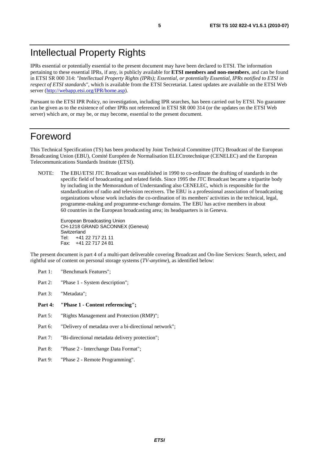# Intellectual Property Rights

IPRs essential or potentially essential to the present document may have been declared to ETSI. The information pertaining to these essential IPRs, if any, is publicly available for **ETSI members and non-members**, and can be found in ETSI SR 000 314: *"Intellectual Property Rights (IPRs); Essential, or potentially Essential, IPRs notified to ETSI in respect of ETSI standards"*, which is available from the ETSI Secretariat. Latest updates are available on the ETSI Web server ([http://webapp.etsi.org/IPR/home.asp\)](http://webapp.etsi.org/IPR/home.asp).

Pursuant to the ETSI IPR Policy, no investigation, including IPR searches, has been carried out by ETSI. No guarantee can be given as to the existence of other IPRs not referenced in ETSI SR 000 314 (or the updates on the ETSI Web server) which are, or may be, or may become, essential to the present document.

### Foreword

This Technical Specification (TS) has been produced by Joint Technical Committee (JTC) Broadcast of the European Broadcasting Union (EBU), Comité Européen de Normalisation ELECtrotechnique (CENELEC) and the European Telecommunications Standards Institute (ETSI).

NOTE: The EBU/ETSI JTC Broadcast was established in 1990 to co-ordinate the drafting of standards in the specific field of broadcasting and related fields. Since 1995 the JTC Broadcast became a tripartite body by including in the Memorandum of Understanding also CENELEC, which is responsible for the standardization of radio and television receivers. The EBU is a professional association of broadcasting organizations whose work includes the co-ordination of its members' activities in the technical, legal, programme-making and programme-exchange domains. The EBU has active members in about 60 countries in the European broadcasting area; its headquarters is in Geneva.

European Broadcasting Union CH-1218 GRAND SACONNEX (Geneva) Switzerland Tel: +41 22 717 21 11 Fax: +41 22 717 24 81

The present document is part 4 of a multi-part deliverable covering Broadcast and On-line Services: Search, select, and rightful use of content on personal storage systems (*TV-anytime*), as identified below:

- Part 1: "Benchmark Features";
- Part 2: "Phase 1 System description";
- Part 3: "Metadata";
- **Part 4: "Phase 1 - Content referencing";**
- Part 5: "Rights Management and Protection (RMP)";
- Part 6: "Delivery of metadata over a bi-directional network";
- Part 7: "Bi-directional metadata delivery protection";
- Part 8: "Phase 2 Interchange Data Format";
- Part 9: "Phase 2 Remote Programming".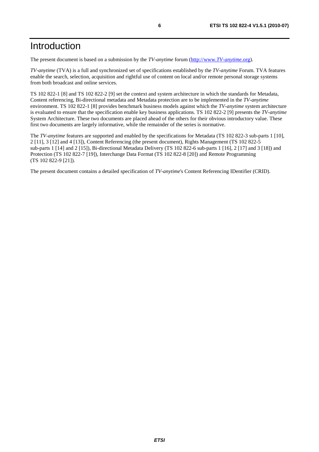# Introduction

The present document is based on a submission by the *TV-anytime* forum [\(http://www.](http://www.tv-anytime.org/)*TV-anytime*.org).

*TV-anytime* (TVA) is a full and synchronized set of specifications established by the *TV-anytime* Forum. TVA features enable the search, selection, acquisition and rightful use of content on local and/or remote personal storage systems from both broadcast and online services.

TS 102 822-1 [8] and TS 102 822-2 [9] set the context and system architecture in which the standards for Metadata, Content referencing, Bi-directional metadata and Metadata protection are to be implemented in the *TV-anytime* environment. TS 102 822-1 [8] provides benchmark business models against which the *TV-anytime* system architecture is evaluated to ensure that the specification enable key business applications. TS 102 822-2 [9] presents the *TV-anytime* System Architecture. These two documents are placed ahead of the others for their obvious introductory value. These first two documents are largely informative, while the remainder of the series is normative.

The *TV-anytime* features are supported and enabled by the specifications for Metadata (TS 102 822-3 sub-parts 1 [10], 2 [11], 3 [12] and 4 [13]), Content Referencing (the present document), Rights Management (TS 102 822-5 sub-parts 1 [14] and 2 [15]), Bi-directional Metadata Delivery (TS 102 822-6 sub-parts 1 [16], 2 [17] and 3 [18]) and Protection (TS 102 822-7 [19]), Interchange Data Format (TS 102 822-8 [20]) and Remote Programming (TS 102 822-9 [21]).

The present document contains a detailed specification of *TV-anytime*'s Content Referencing IDentifier (CRID).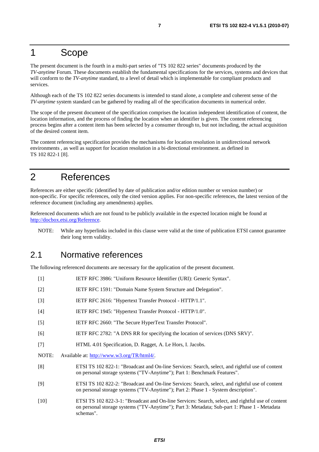### 1 Scope

The present document is the fourth in a multi-part series of "TS 102 822 series" documents produced by the *TV-anytime* Forum. These documents establish the fundamental specifications for the services, systems and devices that will conform to the *TV-anytime* standard, to a level of detail which is implementable for compliant products and services.

Although each of the TS 102 822 series documents is intended to stand alone, a complete and coherent sense of the *TV-anytime* system standard can be gathered by reading all of the specification documents in numerical order.

The scope of the present document of the specification comprises the location independent identification of content, the location information, and the process of finding the location when an identifier is given. The content referencing process begins after a content item has been selected by a consumer through to, but not including, the actual acquisition of the desired content item.

The content referencing specification provides the mechanisms for location resolution in unidirectional network environments , as well as support for location resolution in a bi-directional environment. as defined in TS 102 822-1 [8].

# 2 References

References are either specific (identified by date of publication and/or edition number or version number) or non-specific. For specific references, only the cited version applies. For non-specific references, the latest version of the reference document (including any amendments) applies.

Referenced documents which are not found to be publicly available in the expected location might be found at [http://docbox.etsi.org/Reference.](http://docbox.etsi.org/Reference)

NOTE: While any hyperlinks included in this clause were valid at the time of publication ETSI cannot guarantee their long term validity.

### 2.1 Normative references

The following referenced documents are necessary for the application of the present document.

[1] IETF RFC 3986: "Uniform Resource Identifier (URI): Generic Syntax". [2] IETF RFC 1591: "Domain Name System Structure and Delegation". [3] IETF RFC 2616: "Hypertext Transfer Protocol - HTTP/1.1". [4] IETF RFC 1945: "Hypertext Transfer Protocol - HTTP/1.0". [5] IETF RFC 2660: "The Secure HyperText Transfer Protocol". [6] IETF RFC 2782: "A DNS RR for specifying the location of services (DNS SRV)". [7] HTML 4.01 Specification, D. Ragget, A. Le Hors, I. Jacobs. NOTE: Available at:<http://www.w3.org/TR/html4/>. [8] ETSI TS 102 822-1: "Broadcast and On-line Services: Search, select, and rightful use of content on personal storage systems ("TV-Anytime"); Part 1: Benchmark Features". [9] ETSI TS 102 822-2: "Broadcast and On-line Services: Search, select, and rightful use of content on personal storage systems ("TV-Anytime"); Part 2: Phase 1 - System description". [10] ETSI TS 102 822-3-1: "Broadcast and On-line Services: Search, select, and rightful use of content on personal storage systems ("TV-Anytime"); Part 3: Metadata; Sub-part 1: Phase 1 - Metadata schemas".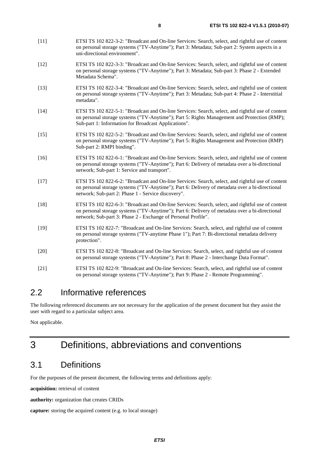- [11] ETSI TS 102 822-3-2: "Broadcast and On-line Services: Search, select, and rightful use of content on personal storage systems ("TV-Anytime"); Part 3: Metadata; Sub-part 2: System aspects in a uni-directional environment".
- [12] ETSI TS 102 822-3-3: "Broadcast and On-line Services: Search, select, and rightful use of content on personal storage systems ("TV-Anytime"); Part 3: Metadata; Sub-part 3: Phase 2 - Extended Metadata Schema".
- [13] ETSI TS 102 822-3-4: "Broadcast and On-line Services: Search, select, and rightful use of content on personal storage systems ("TV-Anytime"); Part 3: Metadata; Sub-part 4: Phase 2 - Interstitial metadata".
- [14] ETSI TS 102 822-5-1: "Broadcast and On-line Services: Search, select, and rightful use of content on personal storage systems ("TV-Anytime"); Part 5: Rights Management and Protection (RMP); Sub-part 1: Information for Broadcast Applications".
- [15] ETSI TS 102 822-5-2: "Broadcast and On-line Services: Search, select, and rightful use of content on personal storage systems ("TV-Anytime"); Part 5: Rights Management and Protection (RMP) Sub-part 2: RMPI binding".
- [16] ETSI TS 102 822-6-1: "Broadcast and On-line Services: Search, select, and rightful use of content on personal storage systems ("TV-Anytime"); Part 6: Delivery of metadata over a bi-directional network; Sub-part 1: Service and transport".
- [17] ETSI TS 102 822-6-2: "Broadcast and On-line Services: Search, select, and rightful use of content on personal storage systems ("TV-Anytime"); Part 6: Delivery of metadata over a bi-directional network; Sub-part 2: Phase 1 - Service discovery".
- [18] ETSI TS 102 822-6-3: "Broadcast and On-line Services: Search, select, and rightful use of content on personal storage systems ("TV-Anytime"); Part 6: Delivery of metadata over a bi-directional network; Sub-part 3: Phase 2 - Exchange of Personal Profile".
- [19] ETSI TS 102 822-7: "Broadcast and On-line Services: Search, select, and rightful use of content on personal storage systems ("TV-anytime Phase 1"); Part 7: Bi-directional metadata delivery protection".
- [20] ETSI TS 102 822-8: "Broadcast and On-line Services: Search, select, and rightful use of content on personal storage systems ("TV-Anytime"); Part 8: Phase 2 - Interchange Data Format".
- [21] ETSI TS 102 822-9: "Broadcast and On-line Services: Search, select, and rightful use of content on personal storage systems ("TV-Anytime"); Part 9: Phase 2 - Remote Programming".

### 2.2 Informative references

The following referenced documents are not necessary for the application of the present document but they assist the user with regard to a particular subject area.

Not applicable.

# 3 Definitions, abbreviations and conventions

### 3.1 Definitions

For the purposes of the present document, the following terms and definitions apply:

**acquisition:** retrieval of content

**authority:** organization that creates CRIDs

```
capture: storing the acquired content (e.g. to local storage)
```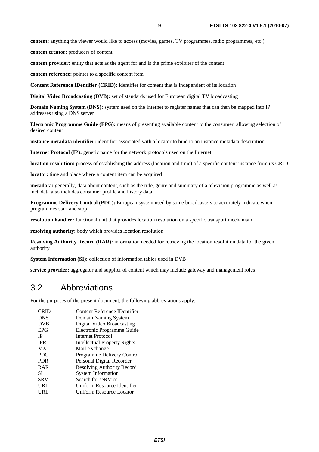**content:** anything the viewer would like to access (movies, games, TV programmes, radio programmes, etc.)

**content creator:** producers of content

**content provider:** entity that acts as the agent for and is the prime exploiter of the content

**content reference:** pointer to a specific content item

**Content Reference IDentifier (CRID):** identifier for content that is independent of its location

**Digital Video Broadcasting (DVB):** set of standards used for European digital TV broadcasting

**Domain Naming System (DNS):** system used on the Internet to register names that can then be mapped into IP addresses using a DNS server

**Electronic Programme Guide (EPG):** means of presenting available content to the consumer, allowing selection of desired content

**instance metadata identifier:** identifier associated with a locator to bind to an instance metadata description

**Internet Protocol (IP):** generic name for the network protocols used on the Internet

**location resolution:** process of establishing the address (location and time) of a specific content instance from its CRID

**locator:** time and place where a content item can be acquired

**metadata:** generally, data about content, such as the title, genre and summary of a television programme as well as metadata also includes consumer profile and history data

**Programme Delivery Control (PDC):** European system used by some broadcasters to accurately indicate when programmes start and stop

**resolution handler:** functional unit that provides location resolution on a specific transport mechanism

**resolving authority:** body which provides location resolution

**Resolving Authority Record (RAR):** information needed for retrieving the location resolution data for the given authority

**System Information (SI):** collection of information tables used in DVB

**service provider:** aggregator and supplier of content which may include gateway and management roles

### 3.2 Abbreviations

For the purposes of the present document, the following abbreviations apply:

| <b>CRID</b> | Content Reference IDentifier |
|-------------|------------------------------|
| <b>DNS</b>  | Domain Naming System         |
| <b>DVB</b>  | Digital Video Broadcasting   |
| <b>EPG</b>  | Electronic Programme Guide   |
| <b>IP</b>   | Internet Protocol            |
| <b>IPR</b>  | Intellectual Property Rights |
| <b>MX</b>   | Mail eXchange                |
| <b>PDC</b>  | Programme Delivery Control   |
| <b>PDR</b>  | Personal Digital Recorder    |
| <b>RAR</b>  | Resolving Authority Record   |
| SI          | <b>System Information</b>    |
| <b>SRV</b>  | Search for seRVice           |
| URI         | Uniform Resource Identifier  |
| URL         | Uniform Resource Locator     |
|             |                              |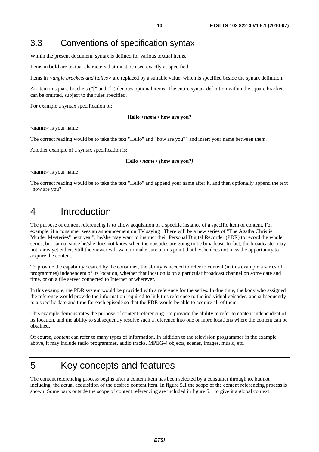### 3.3 Conventions of specification syntax

Within the present document, syntax is defined for various textual items.

Items in **bold** are textual characters that must be used exactly as specified.

Items in *<angle brackets and italics>* are replaced by a suitable value, which is specified beside the syntax definition.

An item in square brackets ("[" and "]") denotes optional items. The entire syntax definition within the square brackets can be omitted, subject to the rules specified.

For example a syntax specification of:

#### **Hello** *<name>* **how are you?**

**<name>** is your name

The correct reading would be to take the text "Hello" and "how are you?" and insert your name between them.

Another example of a syntax specification is:

#### **Hello** *<name> [***how are you?***]*

**<name>** is your name

The correct reading would be to take the text "Hello" and append your name after it, and then optionally append the text "how are you?"

# 4 Introduction

The purpose of content referencing is to allow acquisition of a specific instance of a specific item of content. For example, if a consumer sees an announcement on TV saying "There will be a new series of "The Agatha Christie Murder Mysteries" next year", he/she may want to instruct their Personal Digital Recorder (PDR) to record the whole series, but cannot since he/she does not know when the episodes are going to be broadcast. In fact, the broadcaster may not know yet either. Still the viewer will want to make sure at this point that he/she does not miss the opportunity to acquire the content.

To provide the capability desired by the consumer, the ability is needed to refer to content (in this example a series of programmes) independent of its location, whether that location is on a particular broadcast channel on some date and time, or on a file server connected to Internet or wherever.

In this example, the PDR system would be provided with a reference for the series. In due time, the body who assigned the reference would provide the information required to link this reference to the individual episodes, and subsequently to a specific date and time for each episode so that the PDR would be able to acquire all of them.

This example demonstrates the purpose of content referencing - to provide the ability to refer to content independent of its location, and the ability to subsequently resolve such a reference into one or more locations where the content can be obtained.

Of course, *content* can refer to many types of information. In addition to the television programmes in the example above, it may include radio programmes, audio tracks, MPEG-4 objects, scenes, images, music, etc.

# 5 Key concepts and features

The content referencing process begins after a content item has been selected by a consumer through to, but not including, the actual acquisition of the desired content item. In figure 5.1 the scope of the content referencing process is shown. Some parts outside the scope of content referencing are included in figure 5.1 to give it a global context.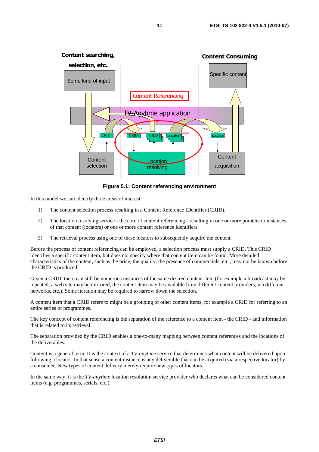

**Figure 5.1: Content referencing environment** 

In this model we can identify three areas of interest:

- 1) The content selection process resulting in a Content Reference IDentifier (CRID).
- 2) The location resolving service the core of content referencing resulting in one or more pointers to instances of that content (locators) or one or more content reference identifiers.
- 3) The retrieval process using one of these locators to subsequently acquire the content.

Before the process of content referencing can be employed, a selection process must supply a CRID. This CRID identifies a specific content item, but does not specify where that content item can be found. More detailed characteristics of the content, such as the price, the quality, the presence of commercials, etc., may not be known before the CRID is produced.

Given a CRID, there can still be numerous instances of the same desired content item (for example a broadcast may be repeated, a web site may be mirrored, the content item may be available from different content providers, via different networks, etc.). Some iteration may be required to narrow down the selection.

A content item that a CRID refers to might be a grouping of other content items, for example a CRID for referring to an entire series of programmes.

The key concept of content referencing is the separation of the reference to a content item - the CRID - and information that is related to its retrieval.

The separation provided by the CRID enables a one-to-many mapping between content references and the locations of the deliverables.

Content is a general term. It is the context of a *TV-anytime* service that determines what content will be delivered upon following a locator. In that sense a content instance is any deliverable that can be acquired (via a respective locator) by a consumer. New types of content delivery merely require new types of locators.

In the same way, it is the *TV-anytime* location resolution service provider who declares what can be considered content items (e.g. programmes, serials, etc.).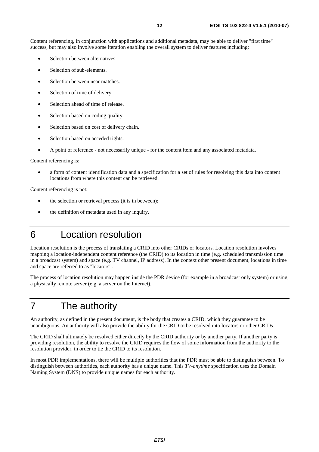Content referencing, in conjunction with applications and additional metadata, may be able to deliver "first time" success, but may also involve some iteration enabling the overall system to deliver features including:

- Selection between alternatives.
- Selection of sub-elements.
- Selection between near matches.
- Selection of time of delivery.
- Selection ahead of time of release.
- Selection based on coding quality.
- Selection based on cost of delivery chain.
- Selection based on acceded rights.
- A point of reference not necessarily unique for the content item and any associated metadata.

Content referencing is:

• a form of content identification data and a specification for a set of rules for resolving this data into content locations from where this content can be retrieved.

Content referencing is not:

- the selection or retrieval process (it is in between);
- the definition of metadata used in any inquiry.
- 6 Location resolution

Location resolution is the process of translating a CRID into other CRIDs or locators. Location resolution involves mapping a location-independent content reference (the CRID) to its location in time (e.g. scheduled transmission time in a broadcast system) and space (e.g. TV channel, IP address). In the context other present document, locations in time and space are referred to as "locators".

The process of location resolution may happen inside the PDR device (for example in a broadcast only system) or using a physically remote server (e.g. a server on the Internet).

# 7 The authority

An authority, as defined in the present document, is the body that creates a CRID, which they guarantee to be unambiguous. An authority will also provide the ability for the CRID to be resolved into locators or other CRIDs.

The CRID shall ultimately be resolved either directly by the CRID authority or by another party. If another party is providing resolution, the ability to resolve the CRID requires the flow of some information from the authority to the resolution provider, in order to tie the CRID to its resolution.

In most PDR implementations, there will be multiple authorities that the PDR must be able to distinguish between. To distinguish between authorities, each authority has a unique name. This *TV-anytime* specification uses the Domain Naming System (DNS) to provide unique names for each authority.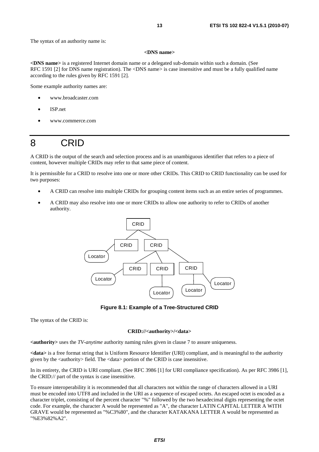#### **<DNS name>**

**<DNS name>** is a registered Internet domain name or a delegated sub-domain within such a domain. (See RFC 1591 [2] for DNS name registration). The <DNS name> is case insensitive and must be a fully qualified name according to the rules given by RFC 1591 [2].

Some example authority names are:

- www.broadcaster.com
- ISP.net
- www.commerce.com

# 8 CRID

A CRID is the output of the search and selection process and is an unambiguous identifier that refers to a piece of content, however multiple CRIDs may refer to that same piece of content.

It is permissible for a CRID to resolve into one or more other CRIDs. This CRID to CRID functionality can be used for two purposes:

- A CRID can resolve into multiple CRIDs for grouping content items such as an entire series of programmes.
- A CRID may also resolve into one or more CRIDs to allow one authority to refer to CRIDs of another authority.



**Figure 8.1: Example of a Tree-Structured CRID** 

The syntax of the CRID is:

#### **CRID://<authority>/<data>**

**<authority>** uses the *TV-anytime* authority naming rules given in clause 7 to assure uniqueness.

**<data>** is a free format string that is Uniform Resource Identifier (URI) compliant, and is meaningful to the authority given by the <authority> field. The <data> portion of the CRID is case insensitive.

In its entirety, the CRID is URI compliant. (See RFC 3986 [1] for URI compliance specification). As per RFC 3986 [1], the CRID:// part of the syntax is case insensitive.

To ensure interoperability it is recommended that all characters not within the range of characters allowed in a URI must be encoded into UTF8 and included in the URI as a sequence of escaped octets. An escaped octet is encoded as a character triplet, consisting of the percent character "%" followed by the two hexadecimal digits representing the octet code. For example, the character A would be represented as "A", the character LATIN CAPITAL LETTER A WITH GRAVE would be represented as "%C3%80", and the character KATAKANA LETTER A would be represented as "%E3%82%A2".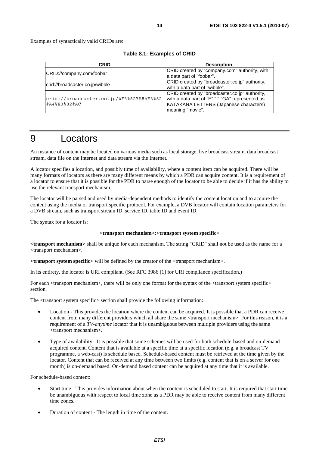| CRID                                     | <b>Description</b>                              |
|------------------------------------------|-------------------------------------------------|
|                                          | CRID created by "company.com" authority, with   |
| CRID://company.com/foobar                | a data part of "foobar".                        |
| crid://broadcaster.co.jp/wibble          | CRID created by "broadcaster.co.jp" authority,  |
|                                          | with a data part of "wibble".                   |
|                                          | CRID created by "broadcaster.co.jp" authority,  |
| crid://broadcaster.co.jp/%E3%82%A8%E3%82 | with a data part of "E" "I" "GA" represented as |
| %A4%E3%82%AC                             | KATAKANA LETTERS (Japanese characters)          |
|                                          | meaning "movie".                                |

#### **Table 8.1: Examples of CRID**

## 9 Locators

An instance of content may be located on various media such as local storage, live broadcast stream, data broadcast stream, data file on the Internet and data stream via the Internet.

A locator specifies a location, and possibly time of availability, where a content item can be acquired. There will be many formats of locators as there are many different means by which a PDR can acquire content. It is a requirement of a locator to ensure that it is possible for the PDR to parse enough of the locator to be able to decide if it has the ability to use the relevant transport mechanism.

The locator will be parsed and used by media-dependent methods to identify the content location and to acquire the content using the media or transport specific protocol. For example, a DVB locator will contain location parameters for a DVB stream, such as transport stream ID, service ID, table ID and event ID.

The syntax for a locator is:

#### **<transport mechanism>:<transport system specific>**

**<transport mechanism>** shall be unique for each mechanism. The string "CRID" shall not be used as the name for a <transport mechanism>.

**<transport system specific>** will be defined by the creator of the <transport mechanism>.

In its entirety, the locator is URI compliant. (See RFC 3986 [1] for URI compliance specification.)

For each  $\langle$ transport mechanism $\rangle$ , there will be only one format for the syntax of the  $\langle$ transport system specific $\rangle$ section.

The <transport system specific> section shall provide the following information:

- Location This provides the location where the content can be acquired. It is possible that a PDR can receive content from many different providers which all share the same <transport mechanism>. For this reason, it is a requirement of a *TV-anytime* locator that it is unambiguous between multiple providers using the same <transport mechanism>.
- Type of availability It is possible that some schemes will be used for both schedule-based and on-demand acquired content. Content that is available at a specific time at a specific location (e.g. a broadcast TV programme, a web-cast) is schedule based. Schedule-based content must be retrieved at the time given by the locator. Content that can be received at any time between two limits (e.g. content that is on a server for one month) is on-demand based. On-demand based content can be acquired at any time that it is available.

For schedule-based content:

- Start time This provides information about when the content is scheduled to start. It is required that start time be unambiguous with respect to local time zone as a PDR may be able to receive content from many different time zones.
- Duration of content The length in time of the content.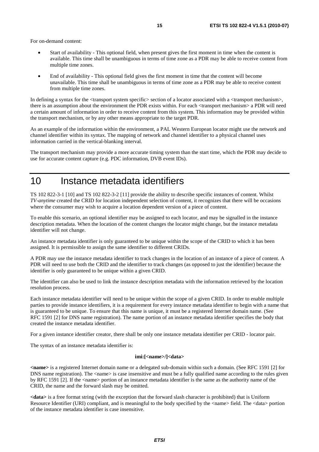For on-demand content:

- Start of availability This optional field, when present gives the first moment in time when the content is available. This time shall be unambiguous in terms of time zone as a PDR may be able to receive content from multiple time zones.
- End of availability This optional field gives the first moment in time that the content will become unavailable. This time shall be unambiguous in terms of time zone as a PDR may be able to receive content from multiple time zones.

In defining a syntax for the  $\langle$ transport system specific $\rangle$  section of a locator associated with a  $\langle$ transport mechanism $\rangle$ , there is an assumption about the environment the PDR exists within. For each <transport mechanism> a PDR will need a certain amount of information in order to receive content from this system. This information may be provided within the transport mechanism, or by any other means appropriate to the target PDR.

As an example of the information within the environment, a PAL Western European locator might use the network and channel identifier within its syntax. The mapping of network and channel identifier to a physical channel uses information carried in the vertical-blanking interval.

The transport mechanism may provide a more accurate timing system than the start time, which the PDR may decide to use for accurate content capture (e.g. PDC information, DVB event IDs).

### 10 Instance metadata identifiers

TS 102 822-3-1 [10] and TS 102 822-3-2 [11] provide the ability to describe specific instances of content. Whilst *TV-anytime* created the CRID for location independent selection of content, it recognizes that there will be occasions where the consumer may wish to acquire a location dependent version of a piece of content.

To enable this scenario, an optional identifier may be assigned to each locator, and may be signalled in the instance description metadata. When the location of the content changes the locator might change, but the instance metadata identifier will not change.

An instance metadata identifier is only guaranteed to be unique within the scope of the CRID to which it has been assigned. It is permissible to assign the same identifier to different CRIDs.

A PDR may use the instance metadata identifier to track changes in the location of an instance of a piece of content. A PDR will need to use both the CRID and the identifier to track changes (as opposed to just the identifier) because the identifier is only guaranteed to be unique within a given CRID.

The identifier can also be used to link the instance description metadata with the information retrieved by the location resolution process.

Each instance metadata identifier will need to be unique within the scope of a given CRID. In order to enable multiple parties to provide instance identifiers, it is a requirement for every instance metadata identifier to begin with a name that is guaranteed to be unique. To ensure that this name is unique, it must be a registered Internet domain name. (See RFC 1591 [2] for DNS name registration). The name portion of an instance metadata identifier specifies the body that created the instance metadata identifier.

For a given instance identifier creator, there shall be only one instance metadata identifier per CRID - locator pair.

The syntax of an instance metadata identifier is:

#### **imi:[<name>/]<data>**

**<name>** is a registered Internet domain name or a delegated sub-domain within such a domain. (See RFC 1591 [2] for DNS name registration). The  $\alpha$  -name is case insensitive and must be a fully qualified name according to the rules given by RFC 1591 [2]. If the <name> portion of an instance metadata identifier is the same as the authority name of the CRID, the name and the forward slash may be omitted.

**<data>** is a free format string (with the exception that the forward slash character is prohibited) that is Uniform Resource Identifier (URI) compliant, and is meaningful to the body specified by the <name> field. The <data> portion of the instance metadata identifier is case insensitive.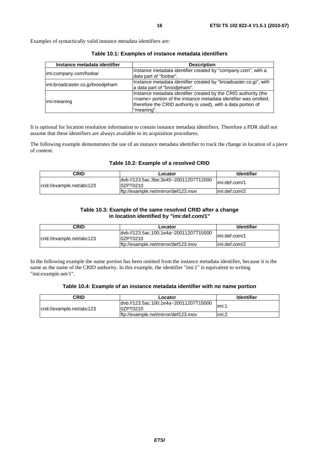Examples of syntactically valid instance metadata identifiers are:

| Instance metadata identifier     | <b>Description</b>                                                                                                                                                                                                         |
|----------------------------------|----------------------------------------------------------------------------------------------------------------------------------------------------------------------------------------------------------------------------|
| imi:company.com/foobar           | Instance metadata identifier created by "company.com", with a<br>data part of "foobar".                                                                                                                                    |
| imi:broadcaster.co.jp/broodjeham | Instance metadata identifier created by "broadcaster.co.jp", with<br>a data part of "broodjeham".                                                                                                                          |
| limi:meaning                     | Instance metadata identifier created by the CRID authority (the<br><name> portion of the instance metadata identifier was omitted,<br/>therefore the CRID authority is used), with a data portion of<br/>"meaning".</name> |

**Table 10.1: Examples of instance metadata identifiers** 

It is optional for location resolution information to contain instance metadata identifiers. Therefore a PDR shall not assume that these identifiers are always available in its acquisition procedures.

The following example demonstrates the use of an instance metadata identifier to track the change in location of a piece of content.

#### **Table 10.2: Example of a resolved CRID**

| <b>CRID</b>               | Locator                                            | <b>Identifier</b> |
|---------------------------|----------------------------------------------------|-------------------|
| crid://example.net/abc123 | dvb://123.5ac.3be;3e45~20011207T12000<br>l0ZPT0210 | limi:def.com/1    |
|                           | ftp://example.net/mirror/def123.mov                | limi:def.com/2    |

#### **Table 10.3: Example of the same resolved CRID after a change in location identified by "imi:def.com/1"**

| CRID                      | Locator                                             | <b>Identifier</b> |
|---------------------------|-----------------------------------------------------|-------------------|
| crid://example.net/abc123 | ldyb://123.5ac.100:1e4a~20011207T15000<br>l0ZPT0210 | limi:def.com/1    |
|                           | lftp://example.net/mirror/def123.mov                | limi:def.com/2    |

In the following example the name portion has been omitted from the instance metadata identifier, because it is the same as the name of the CRID authority. In this example, the identifier "imi:1" is equivalent to writing "imi:example.net/1".

#### **Table 10.4: Example of an instance metadata identifier with no name portion**

| CRID                      | Locator                                            | <b>Identifier</b> |
|---------------------------|----------------------------------------------------|-------------------|
| crid://example.net/abc123 | ldyb://123.5ac.100;1e4a~20011207T15000<br>0ZPT0210 | limi:1            |
|                           | ftp://example.net/mirror/def123.mov                | limi:2            |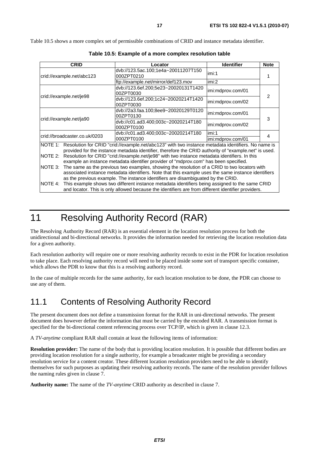Table 10.5 shows a more complex set of permissible combinations of CRID and instance metadata identifier.

| <b>CRID</b>                                                                                                                                                                                                         |                               | Locator                                                                                       | <b>Identifier</b> | <b>Note</b> |
|---------------------------------------------------------------------------------------------------------------------------------------------------------------------------------------------------------------------|-------------------------------|-----------------------------------------------------------------------------------------------|-------------------|-------------|
| crid://example.net/abc123                                                                                                                                                                                           |                               | dvb://123.5ac.100;1e4a~20011207T150<br>000ZPT0210                                             | imi:1             |             |
|                                                                                                                                                                                                                     |                               | ftp://example.net/mirror/def123.mov                                                           | imi:2             |             |
| crid://example.net/je98                                                                                                                                                                                             |                               | dvb://123.6ef.200;5e23~20020131T1420<br>00ZPT0030                                             | imi:mdprov.com/01 | 2           |
|                                                                                                                                                                                                                     |                               | dvb://123.6ef.200;1c24~20020214T1420<br>00ZPT0030                                             | imi:mdprov.com/02 |             |
|                                                                                                                                                                                                                     |                               | dvb://2a3.faa.100;8ee9~20020129T0120<br>00ZPT0130                                             | imi:mdprov.com/01 | 3           |
|                                                                                                                                                                                                                     | crid://example.net/ja90       | dvb://c01.ad3.400;003c~20020214T180<br>000ZPT0100                                             | imi:mdprov.com/02 |             |
|                                                                                                                                                                                                                     | crid://broadcaster.co.uk/0203 | dvb://c01.ad3.400;003c~20020214T180                                                           | imi:1             | 4           |
|                                                                                                                                                                                                                     |                               | 000ZPT0100                                                                                    | imi:mdprov.com/01 |             |
| NOTE 1: Resolution for CRID "crid://example.net/abc123" with two instance metadata identifiers. No name is<br>provided for the instance metadata identifier, therefore the CRID authority of "example.net" is used. |                               |                                                                                               |                   |             |
| NOTE 2:                                                                                                                                                                                                             |                               | Resolution for CRID "crid://example.net/je98" with two instance metadata identifiers. In this |                   |             |
|                                                                                                                                                                                                                     |                               | example an instance metadata identifier provider of "mdprov.com" has been specified.          |                   |             |
| INOTE 3:                                                                                                                                                                                                            |                               | The same as the previous two examples, showing the resolution of a CRID to two locators with  |                   |             |
| associated instance metadata identifiers. Note that this example uses the same instance identifiers                                                                                                                 |                               |                                                                                               |                   |             |
| as the previous example. The instance identifiers are disambiguated by the CRID.                                                                                                                                    |                               |                                                                                               |                   |             |
| This example shows two different instance metadata identifiers being assigned to the same CRID<br>NOTE 4:                                                                                                           |                               |                                                                                               |                   |             |
| and locator. This is only allowed because the identifiers are from different identifier providers.                                                                                                                  |                               |                                                                                               |                   |             |

**Table 10.5: Example of a more complex resolution table** 

# 11 Resolving Authority Record (RAR)

The Resolving Authority Record (RAR) is an essential element in the location resolution process for both the unidirectional and bi-directional networks. It provides the information needed for retrieving the location resolution data for a given authority.

Each resolution authority will require one or more resolving authority records to exist in the PDR for location resolution to take place. Each resolving authority record will need to be placed inside some sort of transport specific container, which allows the PDR to know that this is a resolving authority record.

In the case of multiple records for the same authority, for each location resolution to be done, the PDR can choose to use any of them.

### 11.1 Contents of Resolving Authority Record

The present document does not define a transmission format for the RAR in uni-directional networks. The present document does however define the information that must be carried by the encoded RAR. A transmission format is specified for the bi-directional content referencing process over TCP/IP, which is given in clause 12.3.

A *TV-anytime* compliant RAR shall contain at least the following items of information:

**Resolution provider:** The name of the body that is providing location resolution. It is possible that different bodies are providing location resolution for a single authority, for example a broadcaster might be providing a secondary resolution service for a content creator. These different location resolution providers need to be able to identify themselves for such purposes as updating their resolving authority records. The name of the resolution provider follows the naming rules given in clause 7.

**Authority name:** The name of the *TV-anytime* CRID authority as described in clause 7.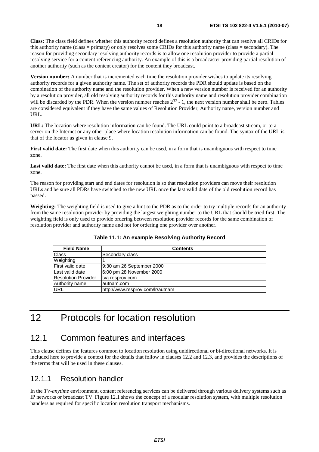**Class:** The class field defines whether this authority record defines a resolution authority that can resolve all CRIDs for this authority name (class = primary) or only resolves some CRIDs for this authority name (class = secondary). The reason for providing secondary resolving authority records is to allow one resolution provider to provide a partial resolving service for a content referencing authority. An example of this is a broadcaster providing partial resolution of another authority (such as the content creator) for the content they broadcast.

**Version number:** A number that is incremented each time the resolution provider wishes to update its resolving authority records for a given authority name. The set of authority records the PDR should update is based on the combination of the authority name and the resolution provider. When a new version number is received for an authority by a resolution provider, all old resolving authority records for this authority name and resolution provider combination will be discarded by the PDR. When the version number reaches  $2^{32}$  - 1, the next version number shall be zero. Tables are considered equivalent if they have the same values of Resolution Provider, Authority name, version number and URL.

**URL:** The location where resolution information can be found. The URL could point to a broadcast stream, or to a server on the Internet or any other place where location resolution information can be found. The syntax of the URL is that of the locator as given in clause 9.

**First valid date:** The first date when this authority can be used, in a form that is unambiguous with respect to time zone.

Last valid date: The first date when this authority cannot be used, in a form that is unambiguous with respect to time zone.

The reason for providing start and end dates for resolution is so that resolution providers can move their resolution URLs and be sure all PDRs have switched to the new URL once the last valid date of the old resolution record has passed.

**Weighting:** The weighting field is used to give a hint to the PDR as to the order to try multiple records for an authority from the same resolution provider by providing the largest weighting number to the URL that should be tried first. The weighting field is only used to provide ordering between resolution provider records for the same combination of resolution provider and authority name and not for ordering one provider over another.

| <b>Field Name</b>             | <b>Contents</b>                  |
|-------------------------------|----------------------------------|
| Class                         | Secondary class                  |
| Weighting                     |                                  |
| lFirst valid date             | 9:30 am 26 September 2000        |
| Last valid date               | 6:00 pm 28 November 2000         |
| <b>Resolution Provider</b>    | tva.resprov.com                  |
| Authority name<br>lautnam.com |                                  |
| <b>URL</b>                    | http://www.resprov.com/lr/autnam |

**Table 11.1: An example Resolving Authority Record** 

# 12 Protocols for location resolution

### 12.1 Common features and interfaces

This clause defines the features common to location resolution using unidirectional or bi-directional networks. It is included here to provide a context for the details that follow in clauses 12.2 and 12.3, and provides the descriptions of the terms that will be used in these clauses.

### 12.1.1 Resolution handler

In the *TV-anytime* environment, content referencing services can be delivered through various delivery systems such as IP networks or broadcast TV. Figure 12.1 shows the concept of a modular resolution system, with multiple resolution handlers as required for specific location resolution transport mechanisms.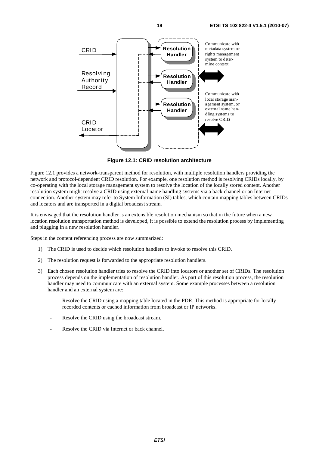

**Figure 12.1: CRID resolution architecture** 

Figure 12.1 provides a network-transparent method for resolution, with multiple resolution handlers providing the network and protocol-dependent CRID resolution. For example, one resolution method is resolving CRIDs locally, by co-operating with the local storage management system to resolve the location of the locally stored content. Another resolution system might resolve a CRID using external name handling systems via a back channel or an Internet connection. Another system may refer to System Information (SI) tables, which contain mapping tables between CRIDs and locators and are transported in a digital broadcast stream.

It is envisaged that the resolution handler is an extensible resolution mechanism so that in the future when a new location resolution transportation method is developed, it is possible to extend the resolution process by implementing and plugging in a new resolution handler.

Steps in the content referencing process are now summarized:

- 1) The CRID is used to decide which resolution handlers to invoke to resolve this CRID.
- 2) The resolution request is forwarded to the appropriate resolution handlers.
- 3) Each chosen resolution handler tries to resolve the CRID into locators or another set of CRIDs. The resolution process depends on the implementation of resolution handler. As part of this resolution process, the resolution handler may need to communicate with an external system. Some example processes between a resolution handler and an external system are:
	- Resolve the CRID using a mapping table located in the PDR. This method is appropriate for locally recorded contents or cached information from broadcast or IP networks.
	- Resolve the CRID using the broadcast stream.
	- Resolve the CRID via Internet or back channel.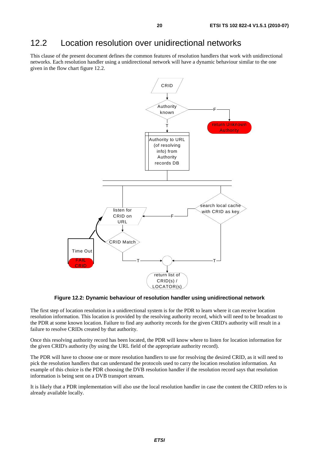### 12.2 Location resolution over unidirectional networks

This clause of the present document defines the common features of resolution handlers that work with unidirectional networks. Each resolution handler using a unidirectional network will have a dynamic behaviour similar to the one given in the flow chart figure 12.2.



**Figure 12.2: Dynamic behaviour of resolution handler using unidirectional network** 

The first step of location resolution in a unidirectional system is for the PDR to learn where it can receive location resolution information. This location is provided by the resolving authority record, which will need to be broadcast to the PDR at some known location. Failure to find any authority records for the given CRID's authority will result in a failure to resolve CRIDs created by that authority.

Once this resolving authority record has been located, the PDR will know where to listen for location information for the given CRID's authority (by using the URL field of the appropriate authority record).

The PDR will have to choose one or more resolution handlers to use for resolving the desired CRID, as it will need to pick the resolution handlers that can understand the protocols used to carry the location resolution information. An example of this choice is the PDR choosing the DVB resolution handler if the resolution record says that resolution information is being sent on a DVB transport stream.

It is likely that a PDR implementation will also use the local resolution handler in case the content the CRID refers to is already available locally.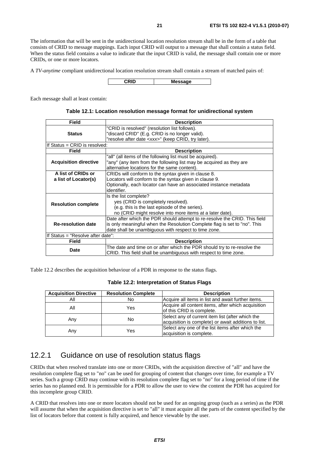The information that will be sent in the unidirectional location resolution stream shall be in the form of a table that consists of CRID to message mappings. Each input CRID will output to a message that shall contain a status field. When the status field contains a value to indicate that the input CRID is valid, the message shall contain one or more CRIDs, or one or more locators.

A *TV-anytime* compliant unidirectional location resolution stream shall contain a stream of matched pairs of:

**CRID Message**

Each message shall at least contain:

| Table 12.1: Location resolution message format for unidirectional system |  |  |
|--------------------------------------------------------------------------|--|--|
|--------------------------------------------------------------------------|--|--|

| <b>Field</b>                      | <b>Description</b>                                                         |  |
|-----------------------------------|----------------------------------------------------------------------------|--|
|                                   | "CRID is resolved" (resolution list follows).                              |  |
| <b>Status</b>                     | "discard CRID" (E.g. CRID is no longer valid).                             |  |
|                                   | "resolve after date <xxx>" (keep CRID, try later).</xxx>                   |  |
| If Status = CRID is resolved:     |                                                                            |  |
| Field                             | <b>Description</b>                                                         |  |
|                                   | "all" (all items of the following list must be acquired).                  |  |
| <b>Acquisition directive</b>      | "any" (any item from the following list may be acquired as they are        |  |
|                                   | alternative locations for the same content).                               |  |
| A list of CRIDs or                | CRIDs will conform to the syntax given in clause 8.                        |  |
| a list of Locator(s)              | Locators will conform to the syntax given in clause 9.                     |  |
|                                   | Optionally, each locator can have an associated instance metadata          |  |
|                                   | identifier.                                                                |  |
|                                   | Is the list complete?                                                      |  |
|                                   | yes (CRID is completely resolved).                                         |  |
| <b>Resolution complete</b>        | (e.g. this is the last episode of the series).                             |  |
|                                   | no (CRID might resolve into more items at a later date).                   |  |
|                                   | Date after which the PDR should attempt to re-resolve the CRID. This field |  |
| <b>Re-resolution date</b>         | is only meaningful when the Resolution Complete flag is set to "no". This  |  |
|                                   | date shall be unambiguous with respect to time zone.                       |  |
| If Status = "Resolve after date": |                                                                            |  |
| <b>Field</b>                      | <b>Description</b>                                                         |  |
| Date                              | The date and time on or after which the PDR should try to re-resolve the   |  |
|                                   | CRID. This field shall be unambiguous with respect to time zone.           |  |

Table 12.2 describes the acquisition behaviour of a PDR in response to the status flags.

#### **Table 12.2: Interpretation of Status Flags**

| <b>Acquisition Directive</b> | <b>Resolution Complete</b> | <b>Description</b>                                                                                       |
|------------------------------|----------------------------|----------------------------------------------------------------------------------------------------------|
| Αll                          | No                         | Acquire all items in list and await further items.                                                       |
| All                          | Yes                        | Acquire all content items, after which acquisition<br>of this CRID is complete.                          |
| Any                          | No                         | Select any of current item list (after which the<br>acquisition is complete) or await additions to list. |
| Any                          | Yes                        | Select any one of the list items after which the<br>acquisition is complete.                             |

### 12.2.1 Guidance on use of resolution status flags

CRIDs that when resolved translate into one or more CRIDs, with the acquisition directive of "all" and have the resolution complete flag set to "no" can be used for grouping of content that changes over time, for example a TV series. Such a group CRID may continue with its resolution complete flag set to "no" for a long period of time if the series has no planned end. It is permissible for a PDR to allow the user to view the content the PDR has acquired for this incomplete group CRID.

A CRID that resolves into one or more locators should not be used for an ongoing group (such as a series) as the PDR will assume that when the acquisition directive is set to "all" it must acquire all the parts of the content specified by the list of locators before that content is fully acquired, and hence viewable by the user.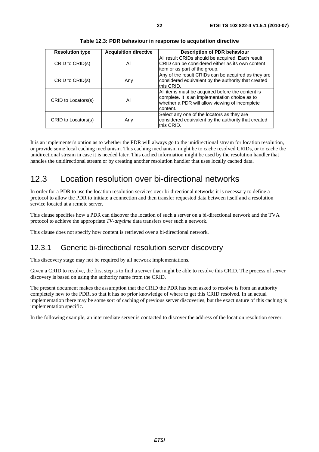| <b>Resolution type</b> | <b>Acquisition directive</b> | <b>Description of PDR behaviour</b>                                                                                                                              |
|------------------------|------------------------------|------------------------------------------------------------------------------------------------------------------------------------------------------------------|
| CRID to CRID(s)        | All                          | All result CRIDs should be acquired. Each result<br>ICRID can be considered either as its own content<br>litem or as part of the group.                          |
| CRID to CRID(s)        | Any                          | Any of the result CRIDs can be acquired as they are<br>considered equivalent by the authority that created<br>this CRID.                                         |
| CRID to Locators(s)    | All                          | All items must be acquired before the content is<br>complete. It is an implementation choice as to<br>whether a PDR will allow viewing of incomplete<br>content. |
| CRID to Locators(s)    | Any                          | Select any one of the locators as they are<br>considered equivalent by the authority that created<br>this CRID.                                                  |

**Table 12.3: PDR behaviour in response to acquisition directive** 

It is an implementer's option as to whether the PDR will always go to the unidirectional stream for location resolution, or provide some local caching mechanism. This caching mechanism might be to cache resolved CRIDs, or to cache the unidirectional stream in case it is needed later. This cached information might be used by the resolution handler that handles the unidirectional stream or by creating another resolution handler that uses locally cached data.

### 12.3 Location resolution over bi-directional networks

In order for a PDR to use the location resolution services over bi-directional networks it is necessary to define a protocol to allow the PDR to initiate a connection and then transfer requested data between itself and a resolution service located at a remote server.

This clause specifies how a PDR can discover the location of such a server on a bi-directional network and the TVA protocol to achieve the appropriate *TV-anytime* data transfers over such a network.

This clause does not specify how content is retrieved over a bi-directional network.

### 12.3.1 Generic bi-directional resolution server discovery

This discovery stage may not be required by all network implementations.

Given a CRID to resolve, the first step is to find a server that might be able to resolve this CRID. The process of server discovery is based on using the authority name from the CRID.

The present document makes the assumption that the CRID the PDR has been asked to resolve is from an authority completely new to the PDR, so that it has no prior knowledge of where to get this CRID resolved. In an actual implementation there may be some sort of caching of previous server discoveries, but the exact nature of this caching is implementation specific.

In the following example, an intermediate server is contacted to discover the address of the location resolution server.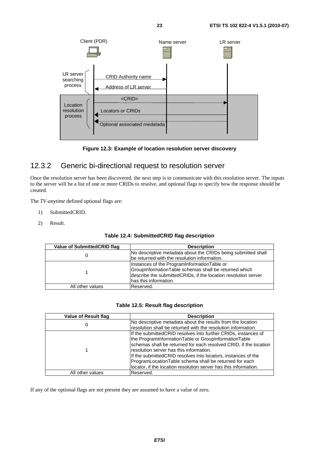



### 12.3.2 Generic bi-directional request to resolution server

Once the resolution server has been discovered, the next step is to communicate with this resolution server. The inputs to the server will be a list of one or more CRIDs to resolve, and optional flags to specify how the response should be created.

The *TV-anytime* defined optional flags are:

- 1) SubmittedCRID.
- 2) Result.

| Table 12.4: SubmittedCRID flag description |  |  |
|--------------------------------------------|--|--|
|--------------------------------------------|--|--|

| Value of SubmittedCRID flag | <b>Description</b>                                                                                                                                                                              |
|-----------------------------|-------------------------------------------------------------------------------------------------------------------------------------------------------------------------------------------------|
|                             | No descriptive metadata about the CRIDs being submitted shall<br>be returned with the resolution information.                                                                                   |
|                             | Instances of the ProgramInformationTable or<br>GroupInformationTable schemas shall be returned which<br>describe the submittedCRIDs, if the location resolution server<br>has this information. |
| All other values            | Reserved.                                                                                                                                                                                       |

#### **Table 12.5: Result flag description**

| <b>Value of Result flag</b> | <b>Description</b>                                                |
|-----------------------------|-------------------------------------------------------------------|
|                             | No descriptive metadata about the results from the location       |
| 0                           | resolution shall be returned with the resolution information.     |
|                             | If the submitted CRID resolves into further CRIDs, instances of   |
|                             | the ProgramInformationTable or GroupInformationTable              |
|                             | schemas shall be returned for each resolved CRID, if the location |
|                             | resolution server has this information.                           |
|                             | If the submitted CRID resolves into locators, instances of the    |
|                             | ProgramLocationTable schema shall be returned for each            |
|                             | locator, if the location resolution server has this information.  |
| All other values            | Reserved.                                                         |

If any of the optional flags are not present they are assumed to have a value of zero.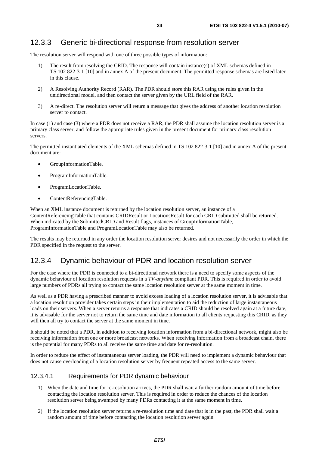### 12.3.3 Generic bi-directional response from resolution server

The resolution server will respond with one of three possible types of information:

- 1) The result from resolving the CRID. The response will contain instance(s) of XML schemas defined in TS 102 822-3-1 [10] and in annex A of the present document. The permitted response schemas are listed later in this clause.
- 2) A Resolving Authority Record (RAR). The PDR should store this RAR using the rules given in the unidirectional model, and then contact the server given by the URL field of the RAR.
- 3) A re-direct. The resolution server will return a message that gives the address of another location resolution server to contact.

In case (1) and case (3) where a PDR does not receive a RAR, the PDR shall assume the location resolution server is a primary class server, and follow the appropriate rules given in the present document for primary class resolution servers.

The permitted instantiated elements of the XML schemas defined in TS 102 822-3-1 [10] and in annex A of the present document are:

- GroupInformationTable.
- ProgramInformationTable.
- ProgramLocationTable.
- ContentReferencingTable.

When an XML instance document is returned by the location resolution server, an instance of a ContentReferencingTable that contains CRIDResult or LocationsResult for each CRID submitted shall be returned. When indicated by the SubmittedCRID and Result flags, instances of GroupInformationTable, ProgramInformationTable and ProgramLocationTable may also be returned.

The results may be returned in any order the location resolution server desires and not necessarily the order in which the PDR specified in the request to the server.

### 12.3.4 Dynamic behaviour of PDR and location resolution server

For the case where the PDR is connected to a bi-directional network there is a need to specify some aspects of the dynamic behaviour of location resolution requests in a *TV-anytime* compliant PDR. This is required in order to avoid large numbers of PDRs all trying to contact the same location resolution server at the same moment in time.

As well as a PDR having a prescribed manner to avoid excess loading of a location resolution server, it is advisable that a location resolution provider takes certain steps in their implementation to aid the reduction of large instantaneous loads on their servers. When a server returns a response that indicates a CRID should be resolved again at a future date, it is advisable for the server not to return the same time and date information to all clients requesting this CRID, as they will then all try to contact the server at the same moment in time.

It should be noted that a PDR, in addition to receiving location information from a bi-directional network, might also be receiving information from one or more broadcast networks. When receiving information from a broadcast chain, there is the potential for many PDRs to all receive the same time and date for re-resolution.

In order to reduce the effect of instantaneous server loading, the PDR will need to implement a dynamic behaviour that does not cause overloading of a location resolution server by frequent repeated access to the same server.

#### 12.3.4.1 Requirements for PDR dynamic behaviour

- 1) When the date and time for re-resolution arrives, the PDR shall wait a further random amount of time before contacting the location resolution server. This is required in order to reduce the chances of the location resolution server being swamped by many PDRs contacting it at the same moment in time.
- 2) If the location resolution server returns a re-resolution time and date that is in the past, the PDR shall wait a random amount of time before contacting the location resolution server again.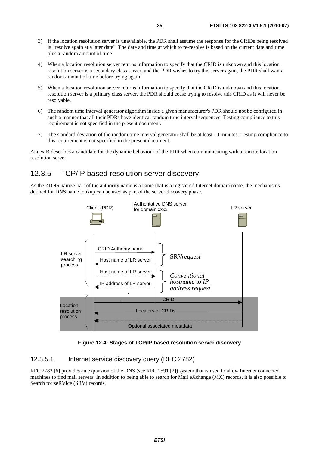- 3) If the location resolution server is unavailable, the PDR shall assume the response for the CRIDs being resolved is "resolve again at a later date". The date and time at which to re-resolve is based on the current date and time plus a random amount of time.
- 4) When a location resolution server returns information to specify that the CRID is unknown and this location resolution server is a secondary class server, and the PDR wishes to try this server again, the PDR shall wait a random amount of time before trying again.
- 5) When a location resolution server returns information to specify that the CRID is unknown and this location resolution server is a primary class server, the PDR should cease trying to resolve this CRID as it will never be resolvable.
- 6) The random time interval generator algorithm inside a given manufacturer's PDR should not be configured in such a manner that all their PDRs have identical random time interval sequences. Testing compliance to this requirement is not specified in the present document.
- 7) The standard deviation of the random time interval generator shall be at least 10 minutes. Testing compliance to this requirement is not specified in the present document.

Annex B describes a candidate for the dynamic behaviour of the PDR when communicating with a remote location resolution server.

### 12.3.5 TCP/IP based resolution server discovery

As the <DNS name> part of the authority name is a name that is a registered Internet domain name, the mechanisms defined for DNS name lookup can be used as part of the server discovery phase.



**Figure 12.4: Stages of TCP/IP based resolution server discovery** 

#### 12.3.5.1 Internet service discovery query (RFC 2782)

RFC 2782 [6] provides an expansion of the DNS (see RFC 1591 [2]) system that is used to allow Internet connected machines to find mail servers. In addition to being able to search for Mail eXchange (MX) records, it is also possible to Search for seRVice (SRV) records.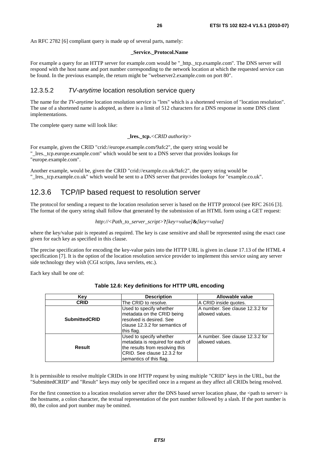An RFC 2782 [6] compliant query is made up of several parts, namely:

#### **\_Service.\_Protocol.Name**

For example a query for an HTTP server for example.com would be "\_http.\_tcp.example.com". The DNS server will respond with the host name and port number corresponding to the network location at which the requested service can be found. In the previous example, the return might be "webserver2.example.com on port 80".

### 12.3.5.2 *TV-anytime* location resolution service query

The name for the *TV-anytime* location resolution service is "lres" which is a shortened version of "location resolution". The use of a shortened name is adopted, as there is a limit of 512 characters for a DNS response in some DNS client implementations.

The complete query name will look like:

**\_lres.\_tcp.***<CRID authority>*

For example, given the CRID "crid://europe.example.com/9afc2", the query string would be "\_lres.\_tcp.europe.example.com" which would be sent to a DNS server that provides lookups for "europe.example.com".

Another example, would be, given the CRID "crid://example.co.uk/9afc2", the query string would be "\_lres.\_tcp.example.co.uk" which would be sent to a DNS server that provides lookups for "example.co.uk".

### 12.3.6 TCP/IP based request to resolution server

The protocol for sending a request to the location resolution server is based on the HTTP protocol (see RFC 2616 [3]. The format of the query string shall follow that generated by the submission of an HTML form using a GET request:

```
http://<Path_to_server_script>?[key=value]&[key=value]
```
where the key/value pair is repeated as required. The key is case sensitive and shall be represented using the exact case given for each key as specified in this clause.

The precise specification for encoding the key-value pairs into the HTTP URL is given in clause 17.13 of the HTML 4 specification [7]. It is the option of the location resolution service provider to implement this service using any server side technology they wish (CGI scripts, Java servlets, etc.).

Each key shall be one of:

| Key                  | <b>Description</b>                                                                                                                                        | Allowable value                                     |
|----------------------|-----------------------------------------------------------------------------------------------------------------------------------------------------------|-----------------------------------------------------|
| <b>CRID</b>          | The CRID to resolve.                                                                                                                                      | A CRID inside quotes.                               |
| <b>SubmittedCRID</b> | Used to specify whether<br>metadata on the CRID being<br>resolved is desired. See<br>clause 12.3.2 for semantics of<br>this flag.                         | A number. See clause 12.3.2 for<br>lallowed values. |
| Result               | Used to specify whether<br>metadata is required for each of<br>the results from resolving this<br>ICRID. See clause 12.3.2 for<br>semantics of this flag. | IA number. See clause 12.3.2 for<br>allowed values. |

#### **Table 12.6: Key definitions for HTTP URL encoding**

It is permissible to resolve multiple CRIDs in one HTTP request by using multiple "CRID" keys in the URL, but the "SubmittedCRID" and "Result" keys may only be specified once in a request as they affect all CRIDs being resolved.

For the first connection to a location resolution server after the DNS based server location phase, the  $\leq$ path to server> is the hostname, a colon character, the textual representation of the port number followed by a slash. If the port number is 80, the colon and port number may be omitted.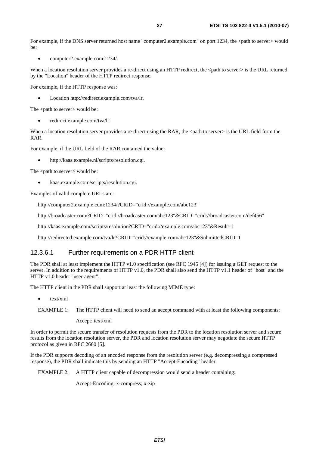For example, if the DNS server returned host name "computer2.example.com" on port 1234, the  $\lt$ path to server $\gt$  would  $he:$ 

• computer2.example.com:1234/.

When a location resolution server provides a re-direct using an HTTP redirect, the <path to server> is the URL returned by the "Location" header of the HTTP redirect response.

For example, if the HTTP response was:

• Location http://redirect.example.com/tva/lr.

The <path to server> would be:

• redirect.example.com/tva/lr.

When a location resolution server provides a re-direct using the RAR, the <path to server> is the URL field from the RAR.

For example, if the URL field of the RAR contained the value:

• http://kaas.example.nl/scripts/resolution.cgi.

The <path to server> would be:

• kaas.example.com/scripts/resolution.cgi.

Examples of valid complete URLs are:

http://computer2.example.com:1234/?CRID="crid://example.com/abc123"

http://broadcaster.com/?CRID="crid://broadcaster.com/abc123"&CRID="crid://broadcaster.com/def456"

http://kaas.example.com/scripts/resolution?CRID="crid://example.com/abc123"&Result=1

http://redirected.example.com/tva/lr?CRID="crid://example.com/abc123"&SubmittedCRID=1

### 12.3.6.1 Further requirements on a PDR HTTP client

The PDR shall at least implement the HTTP v1.0 specification (see RFC 1945 [4]) for issuing a GET request to the server. In addition to the requirements of HTTP v1.0, the PDR shall also send the HTTP v1.1 header of "host" and the HTTP v1.0 header "user-agent".

The HTTP client in the PDR shall support at least the following MIME type:

• text/xml

Accept: text/xml

In order to permit the secure transfer of resolution requests from the PDR to the location resolution server and secure results from the location resolution server, the PDR and location resolution server may negotiate the secure HTTP protocol as given in RFC 2660 [5].

If the PDR supports decoding of an encoded response from the resolution server (e.g. decompressing a compressed response), the PDR shall indicate this by sending an HTTP "Accept-Encoding" header.

EXAMPLE 2: A HTTP client capable of decompression would send a header containing:

Accept-Encoding: x-compress; x-zip

EXAMPLE 1: The HTTP client will need to send an accept command with at least the following components: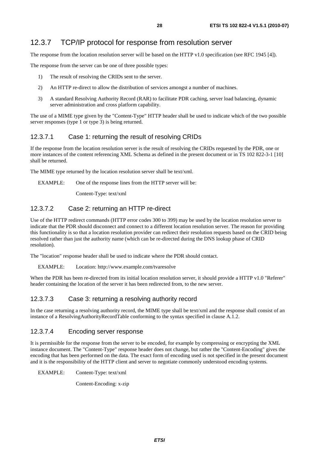### 12.3.7 TCP/IP protocol for response from resolution server

The response from the location resolution server will be based on the HTTP v1.0 specification (see RFC 1945 [4]).

The response from the server can be one of three possible types:

- 1) The result of resolving the CRIDs sent to the server.
- 2) An HTTP re-direct to allow the distribution of services amongst a number of machines.
- 3) A standard Resolving Authority Record (RAR) to facilitate PDR caching, server load balancing, dynamic server administration and cross platform capability.

The use of a MIME type given by the "Content-Type" HTTP header shall be used to indicate which of the two possible server responses (type 1 or type 3) is being returned.

### 12.3.7.1 Case 1: returning the result of resolving CRIDs

If the response from the location resolution server is the result of resolving the CRIDs requested by the PDR, one or more instances of the content referencing XML Schema as defined in the present document or in TS 102 822-3-1 [10] shall be returned.

The MIME type returned by the location resolution server shall be text/xml.

EXAMPLE: One of the response lines from the HTTP server will be:

Content-Type: text/xml

### 12.3.7.2 Case 2: returning an HTTP re-direct

Use of the HTTP redirect commands (HTTP error codes 300 to 399) may be used by the location resolution server to indicate that the PDR should disconnect and connect to a different location resolution server. The reason for providing this functionality is so that a location resolution provider can redirect their resolution requests based on the CRID being resolved rather than just the authority name (which can be re-directed during the DNS lookup phase of CRID resolution).

The "location" response header shall be used to indicate where the PDR should contact.

#### EXAMPLE: Location: http://www.example.com/tvaresolve

When the PDR has been re-directed from its initial location resolution server, it should provide a HTTP v1.0 "Referer" header containing the location of the server it has been redirected from, to the new server.

### 12.3.7.3 Case 3: returning a resolving authority record

In the case returning a resolving authority record, the MIME type shall be text/xml and the response shall consist of an instance of a ResolvingAuthorityRecordTable conforming to the syntax specified in clause A.1.2.

### 12.3.7.4 Encoding server response

It is permissible for the response from the server to be encoded, for example by compressing or encrypting the XML instance document. The "Content-Type" response header does not change, but rather the "Content-Encoding" gives the encoding that has been performed on the data. The exact form of encoding used is not specified in the present document and it is the responsibility of the HTTP client and server to negotiate commonly understood encoding systems.

EXAMPLE: Content-Type: text/xml

Content-Encoding: x-zip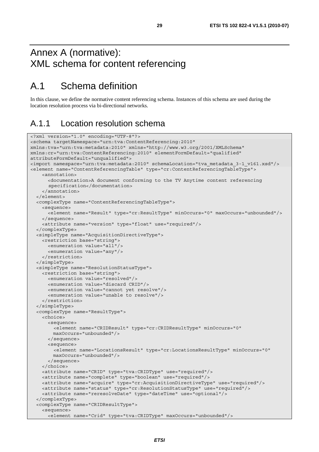# Annex A (normative): XML schema for content referencing

# A.1 Schema definition

In this clause, we define the normative content referencing schema. Instances of this schema are used during the location resolution process via bi-directional networks.

### A.1.1 Location resolution schema

```
<?xml version="1.0" encoding="UTF-8"?> 
<schema targetNamespace="urn:tva:ContentReferencing:2010" 
xmlns:tva="urn:tva:metadata:2010" xmlns="http://www.w3.org/2001/XMLSchema" 
xmlns:cr="urn:tva:ContentReferencing:2010" elementFormDefault="qualified" 
attributeFormDefault="unqualified"> 
<import namespace="urn:tva:metadata:2010" schemaLocation="tva_metadata_3-1_v161.xsd"/> 
<element name="ContentReferencingTable" type="cr:ContentReferencingTableType"> 
     <annotation> 
       <documentation>A document conforming to the TV Anytime content referencing 
       specification</documentation> 
     </annotation> 
   </element> 
   <complexType name="ContentReferencingTableType"> 
     <sequence> 
       <element name="Result" type="cr:ResultType" minOccurs="0" maxOccurs="unbounded"/> 
     </sequence> 
     <attribute name="version" type="float" use="required"/> 
   </complexType> 
   <simpleType name="AcquisitionDirectiveType"> 
     <restriction base="string"> 
       <enumeration value="all"/> 
       <enumeration value="any"/> 
     </restriction> 
   </simpleType> 
   <simpleType name="ResolutionStatusType"> 
     <restriction base="string"> 
       <enumeration value="resolved"/> 
       <enumeration value="discard CRID"/> 
       <enumeration value="cannot yet resolve"/> 
       <enumeration value="unable to resolve"/> 
     </restriction> 
   </simpleType> 
   <complexType name="ResultType"> 
     <choice> 
       <sequence> 
         <element name="CRIDResult" type="cr:CRIDResultType" minOccurs="0" 
         maxOccurs="unbounded"/> 
       </sequence> 
       <sequence> 
         <element name="LocationsResult" type="cr:LocationsResultType" minOccurs="0" 
         maxOccurs="unbounded"/> 
       </sequence> 
     </choice> 
     <attribute name="CRID" type="tva:CRIDType" use="required"/> 
     <attribute name="complete" type="boolean" use="required"/> 
     <attribute name="acquire" type="cr:AcquisitionDirectiveType" use="required"/> 
     <attribute name="status" type="cr:ResolutionStatusType" use="required"/> 
     <attribute name="reresolveDate" type="dateTime" use="optional"/> 
   </complexType> 
   <complexType name="CRIDResultType"> 
     <sequence> 
       <element name="Crid" type="tva:CRIDType" maxOccurs="unbounded"/>
```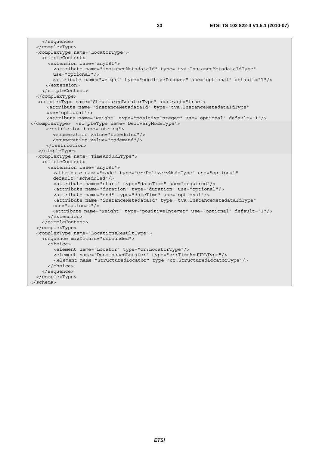```
 </sequence> 
   </complexType> 
   <complexType name="LocatorType"> 
     <simpleContent> 
       <extension base="anyURI"> 
         <attribute name="instanceMetadataId" type="tva:InstanceMetadataIdType" 
         use="optional"/> 
         <attribute name="weight" type="positiveInteger" use="optional" default="1"/> 
      </extension> 
     </simpleContent> 
   </complexType> 
  <complexType name="StructuredLocatorType" abstract="true"> 
       <attribute name="instanceMetadataId" type="tva:InstanceMetadataIdType" 
      use="optional"/> 
      <attribute name="weight" type="positiveInteger" use="optional" default="1"/> 
</complexType> <simpleType name="DeliveryModeType"> 
      <restriction base="string"> 
         <enumeration value="scheduled"/> 
         <enumeration value="ondemand"/> 
      </restriction> 
   </simpleType> 
   <complexType name="TimeAndURLType"> 
     <simpleContent> 
       <extension base="anyURI"> 
         <attribute name="mode" type="cr:DeliveryModeType" use="optional" 
         default="scheduled"/> 
         <attribute name="start" type="dateTime" use="required"/> 
         <attribute name="duration" type="duration" use="optional"/> 
         <attribute name="end" type="dateTime" use="optional"/> 
         <attribute name="instanceMetadataId" type="tva:InstanceMetadataIdType" 
         use="optional"/> 
         <attribute name="weight" type="positiveInteger" use="optional" default="1"/> 
       </extension> 
     </simpleContent> 
   </complexType> 
   <complexType name="LocationsResultType"> 
     <sequence maxOccurs="unbounded"> 
       <choice> 
         <element name="Locator" type="cr:LocatorType"/> 
         <element name="DecomposedLocator" type="cr:TimeAndURLType"/> 
         <element name="StructuredLocator" type="cr:StructuredLocatorType"/> 
       </choice> 
     </sequence> 
   </complexType> 
</schema>
```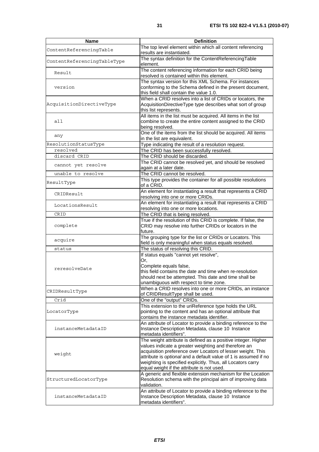| Name                        | <b>Definition</b>                                                                                                                                                                                                                                                                                                                                                    |
|-----------------------------|----------------------------------------------------------------------------------------------------------------------------------------------------------------------------------------------------------------------------------------------------------------------------------------------------------------------------------------------------------------------|
| ContentReferencingTable     | The top level element within which all content referencing<br>results are instantiated.                                                                                                                                                                                                                                                                              |
| ContentReferencingTableType | The syntax definition for the ContentReferencingTable<br>element.                                                                                                                                                                                                                                                                                                    |
| Result                      | The content referencing information for each CRID being<br>resolved is contained within this element.                                                                                                                                                                                                                                                                |
| version                     | The syntax version for this XML Schema. For instances<br>conforming to the Schema defined in the present document,<br>this field shall contain the value 1.0.                                                                                                                                                                                                        |
| AcquisitionDirectiveType    | When a CRID resolves into a list of CRIDs or locators, the<br>AcquisitionDirectiveType type describes what sort of group<br>this list represents.                                                                                                                                                                                                                    |
| all                         | All items in the list must be acquired. All items in the list<br>combine to create the entire content assigned to the CRID<br>being resolved.                                                                                                                                                                                                                        |
| any                         | One of the items from the list should be acquired. All items<br>in the list are equivalent.                                                                                                                                                                                                                                                                          |
| ResolutionStatusType        | Type indicating the result of a resolution request.                                                                                                                                                                                                                                                                                                                  |
| resolved                    | The CRID has been successfully resolved.                                                                                                                                                                                                                                                                                                                             |
| discard CRID                | The CRID should be discarded.                                                                                                                                                                                                                                                                                                                                        |
| cannot yet resolve          | The CRID cannot be resolved yet, and should be resolved                                                                                                                                                                                                                                                                                                              |
|                             | again at a later date.                                                                                                                                                                                                                                                                                                                                               |
| unable to resolve           | The CRID cannot be resolved.                                                                                                                                                                                                                                                                                                                                         |
| ResultType                  | This type provides the container for all possible resolutions<br>of a CRID.                                                                                                                                                                                                                                                                                          |
| CRIDResult                  | An element for instantiating a result that represents a CRID                                                                                                                                                                                                                                                                                                         |
|                             | resolving into one or more CRIDs.                                                                                                                                                                                                                                                                                                                                    |
| LocationsResult             | An element for instantiating a result that represents a CRID<br>resolving into one or more locations.                                                                                                                                                                                                                                                                |
| CRID                        | The CRID that is being resolved.                                                                                                                                                                                                                                                                                                                                     |
| complete                    | True if the resolution of this CRID is complete. If false, the<br>CRID may resolve into further CRIDs or locators in the<br>future.                                                                                                                                                                                                                                  |
| acquire                     | The grouping type for the list or CRIDs or Locators. This<br>field is only meaningful when status equals resolved.                                                                                                                                                                                                                                                   |
| status                      | The status of resolving this CRID.                                                                                                                                                                                                                                                                                                                                   |
| reresolveDate               | If status equals "cannot yet resolve",<br>Or,<br>Complete equals false,<br>this field contains the date and time when re-resolution<br>should next be attempted. This date and time shall be<br>unambiguous with respect to time zone.                                                                                                                               |
| CRIDResultType              | When a CRID resolves into one or more CRIDs, an instance<br>of CRIDResultType shall be used.                                                                                                                                                                                                                                                                         |
| Crid                        | One of the "output" CRIDs.                                                                                                                                                                                                                                                                                                                                           |
| LocatorType                 | This extension to the uriReference type holds the URL<br>pointing to the content and has an optional attribute that<br>contains the instance metadata identifier.                                                                                                                                                                                                    |
| instanceMetadataID          | An attribute of Locator to provide a binding reference to the<br>Instance Description Metadata, clause 10 Instance<br>metadata identifiers".                                                                                                                                                                                                                         |
| weight                      | The weight attribute is defined as a positive integer. Higher<br>values indicate a greater weighting and therefore an<br>acquisition preference over Locators of lesser weight. This<br>attribute is optional and a default value of 1 is assumed if no<br>weighting is specified explicitly. Thus, all Locators carry<br>equal weight if the attribute is not used. |
| StructuredLocatorType       | A generic and flexible extension mechanism for the Location<br>Resolution schema with the principal aim of improving data<br>validation.                                                                                                                                                                                                                             |
| instanceMetadataID          | An attribute of Locator to provide a binding reference to the<br>Instance Description Metadata, clause 10 Instance<br>metadata identifiers".                                                                                                                                                                                                                         |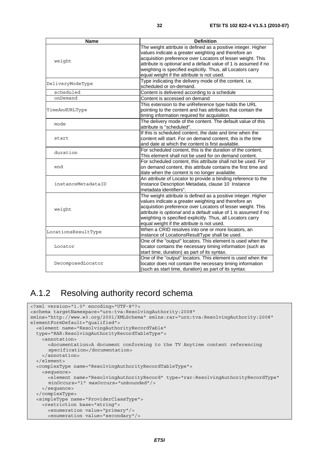| <b>Name</b>         | <b>Definition</b>                                               |
|---------------------|-----------------------------------------------------------------|
|                     | The weight attribute is defined as a positive integer. Higher   |
|                     | values indicate a greater weighting and therefore an            |
| weight              | acquisition preference over Locators of lesser weight. This     |
|                     | attribute is optional and a default value of 1 is assumed if no |
|                     | weighting is specified explicitly. Thus, all Locators carry     |
|                     | equal weight if the attribute is not used.                      |
|                     | Type indicating the delivery mode of the content. i.e.          |
| DeliveryModeType    | scheduled or on-demand.                                         |
| scheduled           | Content is delivered according to a schedule                    |
| onDemand            | Content is accessed on demand                                   |
|                     | This extension to the uriReference type holds the URL           |
| TimeAndURLType      | pointing to the content and has attributes that contain the     |
|                     | timing information required for acquisition.                    |
| mode                | The delivery mode of the content. The default value of this     |
|                     | attribute is "scheduled".                                       |
|                     | If this is scheduled content, the date and time when the        |
| start               | content will start. For on demand content, this is the time     |
|                     | and date at which the content is first available.               |
| duration            | For scheduled content, this is the duration of the content.     |
|                     | This element shall not be used for on demand content.           |
|                     | For scheduled content, this attribute shall not be used. For    |
| end                 | on demand content, this attribute contains the first time and   |
|                     | date when the content is no longer available.                   |
|                     | An attribute of Locator to provide a binding reference to the   |
| instanceMetadataID  | Instance Description Metadata, clause 10 Instance               |
|                     | metadata identifiers".                                          |
|                     | The weight attribute is defined as a positive integer. Higher   |
|                     | values indicate a greater weighting and therefore an            |
| weight              | acquisition preference over Locators of lesser weight. This     |
|                     | attribute is optional and a default value of 1 is assumed if no |
|                     | weighting is specified explicitly. Thus, all Locators carry     |
|                     | equal weight if the attribute is not used.                      |
| LocationsResultType | When a CRID resolves into one or more locators, an              |
|                     | instance of LocationsResultType shall be used.                  |
|                     | One of the "output" locators. This element is used when the     |
| Locator             | locator contains the necessary timing information (such as      |
|                     | start time, duration) as part of its syntax.                    |
|                     | One of the "output" locators. This element is used when the     |
| DecomposedLocator   | locator does not contain the necessary timing information       |
|                     | (such as start time, duration) as part of its syntax.           |

# A.1.2 Resolving authority record schema

```
<?xml version="1.0" encoding="UTF-8"?> 
<schema targetNamespace="urn:tva:ResolvingAuthority:2008" 
xmlns="http://www.w3.org/2001/XMLSchema" xmlns:rar="urn:tva:ResolvingAuthority:2008" 
elementFormDefault="qualified"> 
   <element name="ResolvingAuthorityRecordTable" 
   type="RAR:ResolvingAuthorityRecordTableType"> 
     <annotation> 
       <documentation>A document conforming to the TV Anytime content referencing 
       specification</documentation> 
     </annotation> 
   </element> 
   <complexType name="ResolvingAuthorityRecordTableType"> 
     <sequence> 
       <element name="ResolvingAuthorityRecord" type="rar:ResolvingAuthorityRecordType" 
       minOccurs="1" maxOccurs="unbounded"/> 
     </sequence> 
   </complexType> 
   <simpleType name="ProviderClassType"> 
     <restriction base="string"> 
       <enumeration value="primary"/> 
       <enumeration value="secondary"/>
```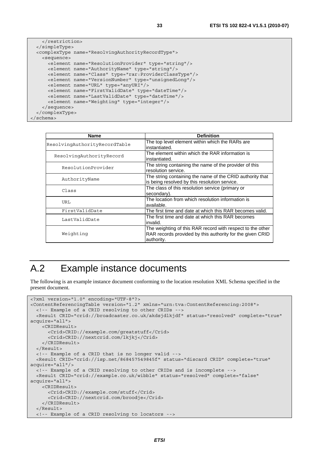```
 </restriction> 
   </simpleType> 
   <complexType name="ResolvingAuthorityRecordType"> 
     <sequence> 
       <element name="ResolutionProvider" type="string"/> 
       <element name="AuthorityName" type="string"/> 
       <element name="Class" type="rar:ProviderClassType"/> 
       <element name="VersionNumber" type="unsignedLong"/> 
       <element name="URL" type="anyURI"/> 
       <element name="FirstValidDate" type="dateTime"/> 
       <element name="LastValidDate" type="dateTime"/> 
       <element name="Weighting" type="integer"/> 
     </sequence> 
   </complexType> 
</schema>
```

| <b>Name</b>                   | <b>Definition</b>                                                                                                                     |
|-------------------------------|---------------------------------------------------------------------------------------------------------------------------------------|
| ResolvingAuthorityRecordTable | The top level element within which the RARs are<br>instantiated.                                                                      |
| ResolvingAuthorityRecord      | The element within which the RAR information is<br>instantiated.                                                                      |
| ResolutionProvider            | The string containing the name of the provider of this<br>resolution service.                                                         |
| AuthorityName                 | The string containing the name of the CRID authority that<br>is being resolved by this resolution service.                            |
| Class                         | The class of this resolution service (primary or<br>secondary).                                                                       |
| URL                           | The location from which resolution information is<br>available.                                                                       |
| FirstValidDate                | The first time and date at which this RAR becomes valid.                                                                              |
| LastValidDate                 | The first time and date at which this RAR becomes<br>invalid.                                                                         |
| Weighting                     | The weighting of this RAR record with respect to the other<br>RAR records provided by this authority for the given CRID<br>authority. |

# A.2 Example instance documents

The following is an example instance document conforming to the location resolution XML Schema specified in the present document.

```
<?xml version="1.0" encoding="UTF-8"?> 
<ContentReferencingTable version="1.2" xmlns="urn:tva:ContentReferencing:2008"> 
   <!-- Example of a CRID resolving to other CRIDs --> 
   <Result CRID="crid://broadcaster.co.uk/akdsjdlkjdf" status="resolved" complete="true" 
acquire="all"> 
     <CRIDResult> 
       <Crid>CRID://example.com/greatstuff</Crid> 
       <Crid>CRID://nextcrid.com/lkjkj</Crid> 
     </CRIDResult> 
   </Result> 
   <!-- Example of a CRID that is no longer valid --> 
   <Result CRID="crid://isp.net/868457549845f" status="discard CRID" complete="true" 
acquire="all"/> 
   <!-- Example of a CRID resolving to other CRIDs and is incomplete --> 
  <Result CRID="crid://example.co.uk/wibble" status="resolved" complete="false" 
acquire="all"> 
     <CRIDResult> 
       <Crid>CRID://example.com/stuff</Crid> 
       <Crid>CRID://nextcrid.com/broodje</Crid> 
     </CRIDResult> 
   </Result> 
   <!-- Example of a CRID resolving to locators -->
```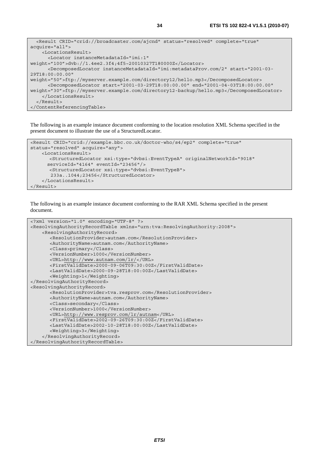```
 <Result CRID="crid://broadcaster.com/ajcnd" status="resolved" complete="true" 
acquire="all"> 
     <LocationsResult> 
       <Locator instanceMetadataId="imi:1" 
weight="100">dvb://1.4ee2.3f4;4f5~20010327T180000Z</Locator> 
       <DecomposedLocator instanceMetadataId="imi:metadataProv.com/2" start="2001-03-
29T18:00:00.00" 
weight="50">ftp://myserver.example.com/directory12/hello.mp3</DecomposedLocator> 
       <DecomposedLocator start="2001-03-29T18:00:00.00" end="2001-04-03T18:00:00.00" 
weight="30">ftp://myserver.example.com/directory12-backup/hello.mp3</DecomposedLocator> 
     </LocationsResult> 
  \epsilon/Result>
</ContentReferencingTable>
```
The following is an example instance document conforming to the location resolution XML Schema specified in the present document to illustrate the use of a StructuredLocator.

```
<Result CRID="crid://example.bbc.co.uk/doctor-who/s4/ep2" complete="true" 
status="resolved" acquire="any"> 
     <LocationsResult> 
       <StructuredLocator xsi:type="dvbsi:EventTypeA" originalNetworkId="9018" 
       serviceId="4164" eventId="23456"/> 
       <StructuredLocator xsi:type="dvbsi:EventTypeB"> 
        233a..1044;23456</StructuredLocator> 
     </LocationsResult> 
</Result>
```
The following is an example instance document conforming to the RAR XML Schema specified in the present document.

```
<?xml version="1.0" encoding="UTF-8" ?> 
<ResolvingAuthorityRecordTable xmlns="urn:tva:ResolvingAuthority:2008"> 
     <ResolvingAuthorityRecord> 
       <ResolutionProvider>autnam.com</ResolutionProvider> 
      <AuthorityName>autnam.com</AuthorityName> 
      <Class>primary</Class> 
      <VersionNumber>1000</VersionNumber> 
      <URL>http://www.autnam.com/lr/</URL> 
      <FirstValidDate>2000-09-06T09:30:00Z</FirstValidDate> 
      <LastValidDate>2000-09-28T18:00:00Z</LastValidDate> 
      <Weighting>1</Weighting> 
</ResolvingAuthorityRecord> 
<ResolvingAuthorityRecord> 
       <ResolutionProvider>tva.resprov.com</ResolutionProvider> 
      <AuthorityName>autnam.com</AuthorityName> 
      <Class>secondary</Class> 
      <VersionNumber>1000</VersionNumber> 
      <URL>http://www.resprov.com/lr/autnam</URL> 
      <FirstValidDate>2002-09-26T09:30:00Z</FirstValidDate> 
       <LastValidDate>2002-10-28T18:00:00Z</LastValidDate> 
       <Weighting>3</Weighting> 
     </ResolvingAuthorityRecord> 
</ResolvingAuthorityRecordTable>
```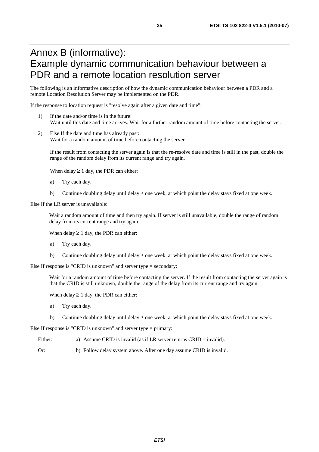# Annex B (informative): Example dynamic communication behaviour between a PDR and a remote location resolution server

The following is an informative description of how the dynamic communication behaviour between a PDR and a remote Location Resolution Server may be implemented on the PDR.

If the response to location request is "resolve again after a given date and time":

- 1) If the date and/or time is in the future: Wait until this date and time arrives. Wait for a further random amount of time before contacting the server.
- 2) Else If the date and time has already past: Wait for a random amount of time before contacting the server.

If the result from contacting the server again is that the re-resolve date and time is still in the past, double the range of the random delay from its current range and try again.

When delay  $\geq 1$  day, the PDR can either:

- a) Try each day.
- b) Continue doubling delay until delay  $\geq$  one week, at which point the delay stays fixed at one week.

Else If the LR server is unavailable:

Wait a random amount of time and then try again. If server is still unavailable, double the range of random delay from its current range and try again.

When delay  $\geq 1$  day, the PDR can either:

- a) Try each day.
- b) Continue doubling delay until delay  $\geq$  one week, at which point the delay stays fixed at one week.

Else If response is "CRID is unknown" and server type = secondary:

Wait for a random amount of time before contacting the server. If the result from contacting the server again is that the CRID is still unknown, double the range of the delay from its current range and try again.

When delay  $\geq 1$  day, the PDR can either:

- a) Try each day.
- b) Continue doubling delay until delay  $\geq$  one week, at which point the delay stays fixed at one week.

Else If response is "CRID is unknown" and server type = primary:

- Either: a) Assume CRID is invalid (as if LR server returns CRID = invalid).
- Or: b) Follow delay system above. After one day assume CRID is invalid.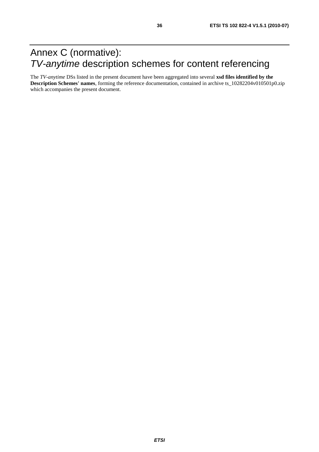# Annex C (normative): *TV-anytime* description schemes for content referencing

The *TV-anytime* DSs listed in the present document have been aggregated into several **xsd files identified by the Description Schemes' names**, forming the reference documentation, contained in archive ts\_10282204v010501p0.zip which accompanies the present document.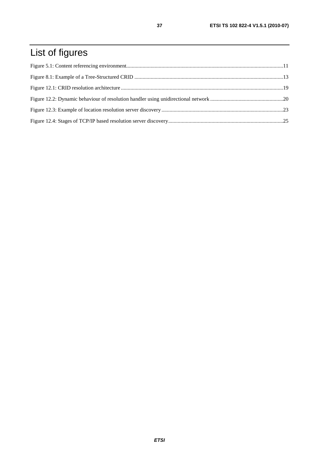# List of figures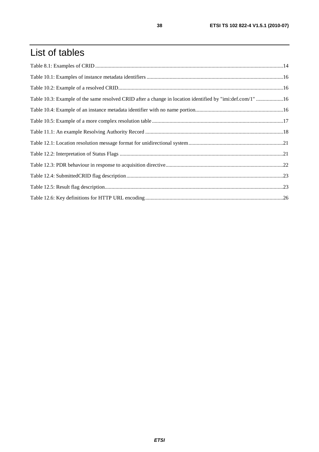# List of tables

| Table 10.3: Example of the same resolved CRID after a change in location identified by "imi:def.com/1" 16 |  |
|-----------------------------------------------------------------------------------------------------------|--|
|                                                                                                           |  |
|                                                                                                           |  |
|                                                                                                           |  |
|                                                                                                           |  |
|                                                                                                           |  |
|                                                                                                           |  |
|                                                                                                           |  |
|                                                                                                           |  |
|                                                                                                           |  |